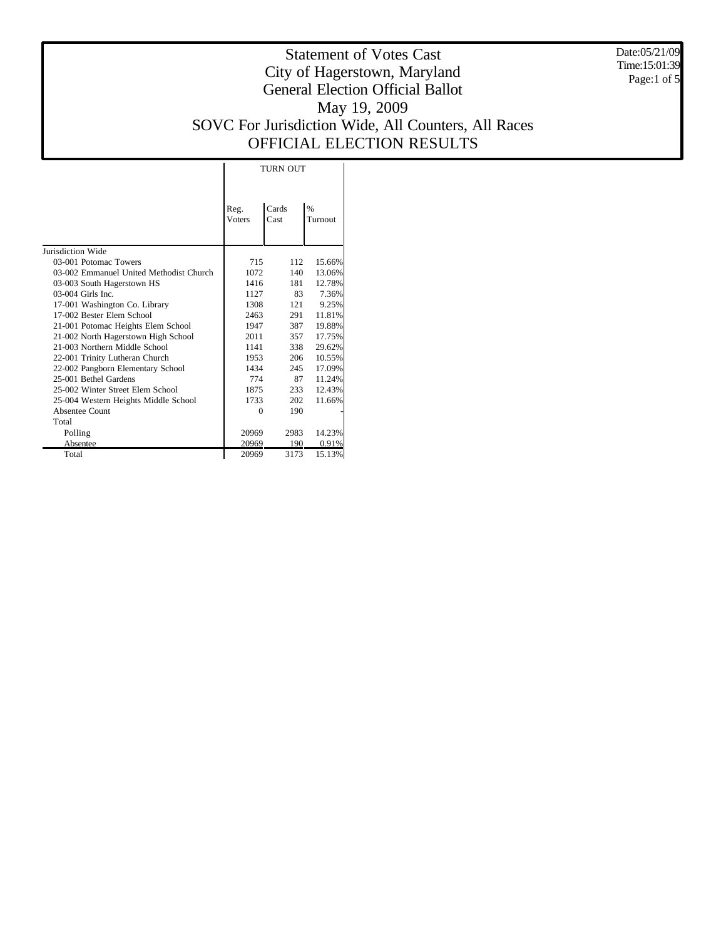Date:05/21/09 Time:15:01:39 Page:1 of 5

# Statement of Votes Cast City of Hagerstown, Maryland General Election Official Ballot May 19, 2009 SOVC For Jurisdiction Wide, All Counters, All Races OFFICIAL ELECTION RESULTS

|                                         |                       | <b>TURN OUT</b> |                 |
|-----------------------------------------|-----------------------|-----------------|-----------------|
|                                         | Reg.<br><b>Voters</b> | Cards<br>Cast   | $\%$<br>Turnout |
| Jurisdiction Wide                       |                       |                 |                 |
| 03-001 Potomac Towers                   | 715                   | 112             | 15.66%          |
| 03-002 Emmanuel United Methodist Church | 1072                  | 140             | 13.06%          |
| 03-003 South Hagerstown HS              | 1416                  | 181             | 12.78%          |
| $03-004$ Girls Inc.                     | 1127                  | 83              | 7.36%           |
| 17-001 Washington Co. Library           | 1308                  | 121             | 9.25%           |
| 17-002 Bester Elem School               | 2463                  | 291             | 11.81%          |
| 21-001 Potomac Heights Elem School      | 1947                  | 387             | 19.88%          |
| 21-002 North Hagerstown High School     | 2011                  | 357             | 17.75%          |
| 21-003 Northern Middle School           | 1141                  | 338             | 29.62%          |
| 22-001 Trinity Lutheran Church          | 1953                  | 206             | 10.55%          |
| 22-002 Pangborn Elementary School       | 1434                  | 245             | 17.09%          |
| 25-001 Bethel Gardens                   | 774                   | 87              | 11.24%          |
| 25-002 Winter Street Elem School        | 1875                  | 233             | 12.43%          |
| 25-004 Western Heights Middle School    | 1733                  | 202             | 11.66%          |
| Absentee Count                          | $\Omega$              | 190             |                 |
| Total                                   |                       |                 |                 |
| Polling                                 | 20969                 | 2983            | 14.23%          |
| Absentee                                | 20969                 | 190             | 0.91%           |

 $\mathbf{I}$ 

20969 3173 15.13%

Total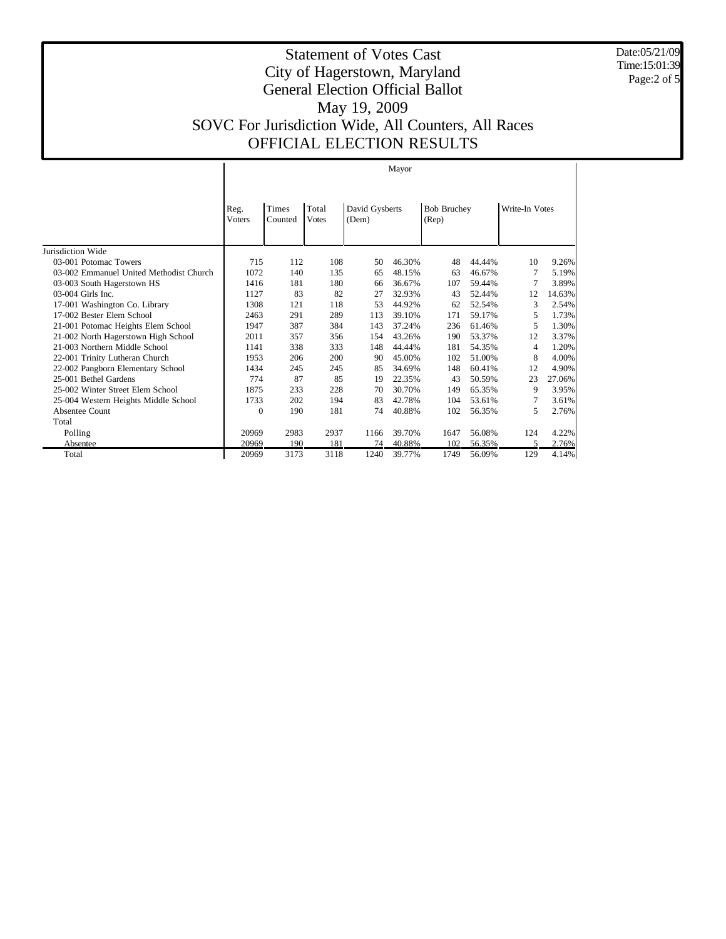Date:05/21/09 Time:15:01:39 Page:2 of 5

|                                         | Mayor                 |                  |                       |                         |        |                             |        |                |        |  |  |
|-----------------------------------------|-----------------------|------------------|-----------------------|-------------------------|--------|-----------------------------|--------|----------------|--------|--|--|
|                                         | Reg.<br><b>Voters</b> | Times<br>Counted | Total<br><b>Votes</b> | David Gysberts<br>(Dem) |        | <b>Bob Bruchey</b><br>(Rep) |        | Write-In Votes |        |  |  |
| Jurisdiction Wide                       |                       |                  |                       |                         |        |                             |        |                |        |  |  |
| 03-001 Potomac Towers                   | 715                   | 112              | 108                   | 50                      | 46.30% | 48                          | 44.44% | 10             | 9.26%  |  |  |
| 03-002 Emmanuel United Methodist Church | 1072                  | 140              | 135                   | 65                      | 48.15% | 63                          | 46.67% | 7              | 5.19%  |  |  |
| 03-003 South Hagerstown HS              | 1416                  | 181              | 180                   | 66                      | 36.67% | 107                         | 59.44% | 7              | 3.89%  |  |  |
| 03-004 Girls Inc.                       | 1127                  | 83               | 82                    | 27                      | 32.93% | 43                          | 52.44% | 12             | 14.63% |  |  |
| 17-001 Washington Co. Library           | 1308                  | 121              | 118                   | 53                      | 44.92% | 62                          | 52.54% | 3              | 2.54%  |  |  |
| 17-002 Bester Elem School               | 2463                  | 291              | 289                   | 113                     | 39.10% | 171                         | 59.17% | 5              | 1.73%  |  |  |
| 21-001 Potomac Heights Elem School      | 1947                  | 387              | 384                   | 143                     | 37.24% | 236                         | 61.46% | 5              | 1.30%  |  |  |
| 21-002 North Hagerstown High School     | 2011                  | 357              | 356                   | 154                     | 43.26% | 190                         | 53.37% | 12             | 3.37%  |  |  |
| 21-003 Northern Middle School           | 1141                  | 338              | 333                   | 148                     | 44.44% | 181                         | 54.35% | $\overline{4}$ | 1.20%  |  |  |
| 22-001 Trinity Lutheran Church          | 1953                  | 206              | 200                   | 90                      | 45.00% | 102                         | 51.00% | 8              | 4.00%  |  |  |
| 22-002 Pangborn Elementary School       | 1434                  | 245              | 245                   | 85                      | 34.69% | 148                         | 60.41% | 12             | 4.90%  |  |  |
| 25-001 Bethel Gardens                   | 774                   | 87               | 85                    | 19                      | 22.35% | 43                          | 50.59% | 23             | 27.06% |  |  |
| 25-002 Winter Street Elem School        | 1875                  | 233              | 228                   | 70                      | 30.70% | 149                         | 65.35% | 9              | 3.95%  |  |  |
| 25-004 Western Heights Middle School    | 1733                  | 202              | 194                   | 83                      | 42.78% | 104                         | 53.61% | 7              | 3.61%  |  |  |
| Absentee Count                          | 0                     | 190              | 181                   | 74                      | 40.88% | 102                         | 56.35% | 5              | 2.76%  |  |  |
| Total                                   |                       |                  |                       |                         |        |                             |        |                |        |  |  |
| Polling                                 | 20969                 | 2983             | 2937                  | 1166                    | 39.70% | 1647                        | 56.08% | 124            | 4.22%  |  |  |
| Absentee                                | 20969                 | 190              | 181                   | 74                      | 40.88% | 102                         | 56.35% | 5              | 2.76%  |  |  |
| Total                                   | 20969                 | 3173             | 3118                  | 1240                    | 39.77% | 1749                        | 56.09% | 129            | 4.14%  |  |  |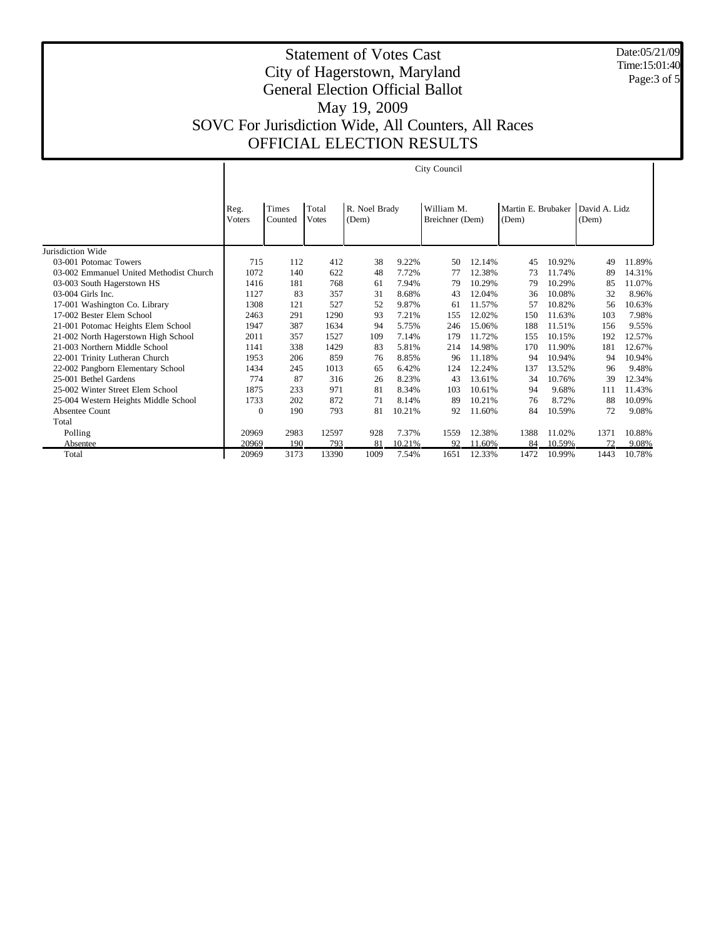Date:05/21/09 Time:15:01:40 Page:3 of 5

|                                         | City Council   |                  |                       |                        |        |                               |        |                             |        |                        |        |
|-----------------------------------------|----------------|------------------|-----------------------|------------------------|--------|-------------------------------|--------|-----------------------------|--------|------------------------|--------|
|                                         | Reg.<br>Voters | Times<br>Counted | Total<br><b>Votes</b> | R. Noel Brady<br>(Dem) |        | William M.<br>Breichner (Dem) |        | Martin E. Brubaker<br>(Dem) |        | David A. Lidz<br>(Dem) |        |
| Jurisdiction Wide                       |                |                  |                       |                        |        |                               |        |                             |        |                        |        |
| 03-001 Potomac Towers                   | 715            | 112              | 412                   | 38                     | 9.22%  | 50                            | 12.14% | 45                          | 10.92% | 49                     | 11.89% |
| 03-002 Emmanuel United Methodist Church | 1072           | 140              | 622                   | 48                     | 7.72%  | 77                            | 12.38% | 73                          | 11.74% | 89                     | 14.31% |
| 03-003 South Hagerstown HS              | 1416           | 181              | 768                   | 61                     | 7.94%  | 79                            | 10.29% | 79                          | 10.29% | 85                     | 11.07% |
| $03-004$ Girls Inc.                     | 1127           | 83               | 357                   | 31                     | 8.68%  | 43                            | 12.04% | 36                          | 10.08% | 32                     | 8.96%  |
| 17-001 Washington Co. Library           | 1308           | 121              | 527                   | 52                     | 9.87%  | 61                            | 11.57% | 57                          | 10.82% | 56                     | 10.63% |
| 17-002 Bester Elem School               | 2463           | 291              | 1290                  | 93                     | 7.21%  | 155                           | 12.02% | 150                         | 11.63% | 103                    | 7.98%  |
| 21-001 Potomac Heights Elem School      | 1947           | 387              | 1634                  | 94                     | 5.75%  | 246                           | 15.06% | 188                         | 11.51% | 156                    | 9.55%  |
| 21-002 North Hagerstown High School     | 2011           | 357              | 1527                  | 109                    | 7.14%  | 179                           | 11.72% | 155                         | 10.15% | 192                    | 12.57% |
| 21-003 Northern Middle School           | 1141           | 338              | 1429                  | 83                     | 5.81%  | 214                           | 14.98% | 170                         | 11.90% | 181                    | 12.67% |
| 22-001 Trinity Lutheran Church          | 1953           | 206              | 859                   | 76                     | 8.85%  | 96                            | 11.18% | 94                          | 10.94% | 94                     | 10.94% |
| 22-002 Pangborn Elementary School       | 1434           | 245              | 1013                  | 65                     | 6.42%  | 124                           | 12.24% | 137                         | 13.52% | 96                     | 9.48%  |
| 25-001 Bethel Gardens                   | 774            | 87               | 316                   | 26                     | 8.23%  | 43                            | 13.61% | 34                          | 10.76% | 39                     | 12.34% |
| 25-002 Winter Street Elem School        | 1875           | 233              | 971                   | 81                     | 8.34%  | 103                           | 10.61% | 94                          | 9.68%  | 111                    | 11.43% |
| 25-004 Western Heights Middle School    | 1733           | 202              | 872                   | 71                     | 8.14%  | 89                            | 10.21% | 76                          | 8.72%  | 88                     | 10.09% |
| Absentee Count                          | $\mathbf{0}$   | 190              | 793                   | 81                     | 10.21% | 92                            | 11.60% | 84                          | 10.59% | 72                     | 9.08%  |
| Total                                   |                |                  |                       |                        |        |                               |        |                             |        |                        |        |
| Polling                                 | 20969          | 2983             | 12597                 | 928                    | 7.37%  | 1559                          | 12.38% | 1388                        | 11.02% | 1371                   | 10.88% |
| Absentee                                | 20969          | 190              | 793                   | 81                     | 10.21% | 92                            | 11.60% | 84                          | 10.59% | 72                     | 9.08%  |
| Total                                   | 20969          | 3173             | 13390                 | 1009                   | 7.54%  | 1651                          | 12.33% | 1472                        | 10.99% | 1443                   | 10.78% |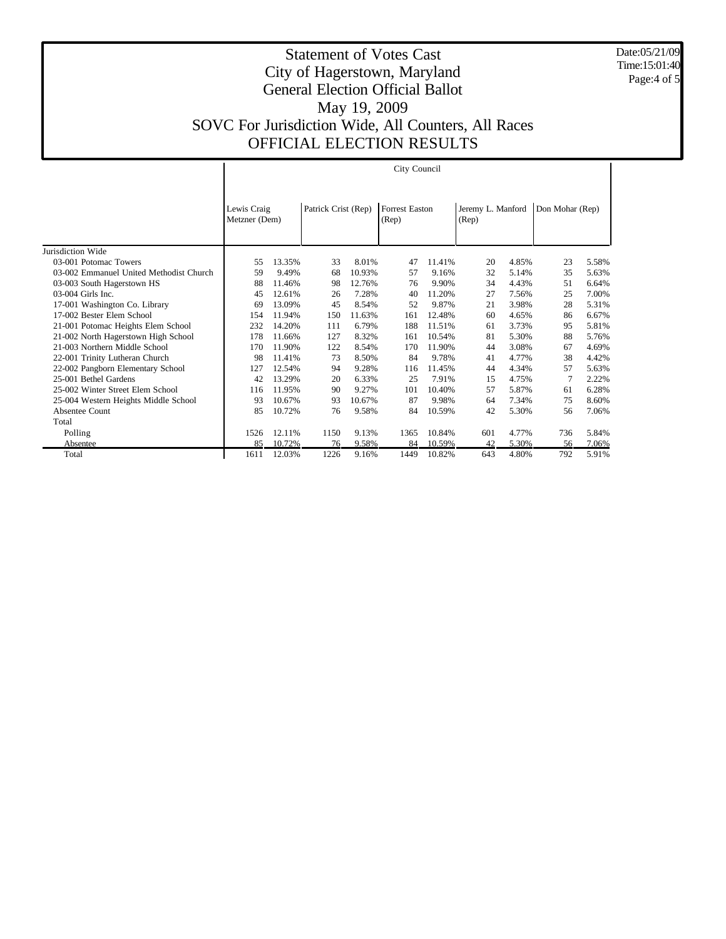Date:05/21/09 Time:15:01:40 Page:4 of 5

 $\overline{1}$ 

|                                         | City Council                 |        |                     |        |                                |        |                            |       |                 |       |  |
|-----------------------------------------|------------------------------|--------|---------------------|--------|--------------------------------|--------|----------------------------|-------|-----------------|-------|--|
|                                         |                              |        |                     |        |                                |        |                            |       |                 |       |  |
|                                         | Lewis Craig<br>Metzner (Dem) |        | Patrick Crist (Rep) |        | <b>Forrest Easton</b><br>(Rep) |        | Jeremy L. Manford<br>(Rep) |       | Don Mohar (Rep) |       |  |
| Jurisdiction Wide                       |                              |        |                     |        |                                |        |                            |       |                 |       |  |
| 03-001 Potomac Towers                   | 55                           | 13.35% | 33                  | 8.01%  | 47                             | 11.41% | 20                         | 4.85% | 23              | 5.58% |  |
| 03-002 Emmanuel United Methodist Church | 59                           | 9.49%  | 68                  | 10.93% | 57                             | 9.16%  | 32                         | 5.14% | 35              | 5.63% |  |
| 03-003 South Hagerstown HS              | 88                           | 11.46% | 98                  | 12.76% | 76                             | 9.90%  | 34                         | 4.43% | 51              | 6.64% |  |
| $03-004$ Girls Inc.                     | 45                           | 12.61% | 26                  | 7.28%  | 40                             | 11.20% | 27                         | 7.56% | 25              | 7.00% |  |
| 17-001 Washington Co. Library           | 69                           | 13.09% | 45                  | 8.54%  | 52                             | 9.87%  | 21                         | 3.98% | 28              | 5.31% |  |
| 17-002 Bester Elem School               | 154                          | 11.94% | 150                 | 11.63% | 161                            | 12.48% | 60                         | 4.65% | 86              | 6.67% |  |
| 21-001 Potomac Heights Elem School      | 232                          | 14.20% | 111                 | 6.79%  | 188                            | 11.51% | 61                         | 3.73% | 95              | 5.81% |  |
| 21-002 North Hagerstown High School     | 178                          | 11.66% | 127                 | 8.32%  | 161                            | 10.54% | 81                         | 5.30% | 88              | 5.76% |  |
| 21-003 Northern Middle School           | 170                          | 11.90% | 122                 | 8.54%  | 170                            | 11.90% | 44                         | 3.08% | 67              | 4.69% |  |
| 22-001 Trinity Lutheran Church          | 98                           | 11.41% | 73                  | 8.50%  | 84                             | 9.78%  | 41                         | 4.77% | 38              | 4.42% |  |
| 22-002 Pangborn Elementary School       | 127                          | 12.54% | 94                  | 9.28%  | 116                            | 11.45% | 44                         | 4.34% | 57              | 5.63% |  |
| 25-001 Bethel Gardens                   | 42                           | 13.29% | 20                  | 6.33%  | 25                             | 7.91%  | 15                         | 4.75% | $\tau$          | 2.22% |  |
| 25-002 Winter Street Elem School        | 116                          | 11.95% | 90                  | 9.27%  | 101                            | 10.40% | 57                         | 5.87% | 61              | 6.28% |  |
| 25-004 Western Heights Middle School    | 93                           | 10.67% | 93                  | 10.67% | 87                             | 9.98%  | 64                         | 7.34% | 75              | 8.60% |  |
| Absentee Count                          | 85                           | 10.72% | 76                  | 9.58%  | 84                             | 10.59% | 42                         | 5.30% | 56              | 7.06% |  |
| Total                                   |                              |        |                     |        |                                |        |                            |       |                 |       |  |
| Polling                                 | 1526                         | 12.11% | 1150                | 9.13%  | 1365                           | 10.84% | 601                        | 4.77% | 736             | 5.84% |  |
| Absentee                                | 85                           | 10.72% | 76                  | 9.58%  | 84                             | 10.59% | 42                         | 5.30% | 56              | 7.06% |  |
| Total                                   | 1611                         | 12.03% | 1226                | 9.16%  | 1449                           | 10.82% | 643                        | 4.80% | 792             | 5.91% |  |